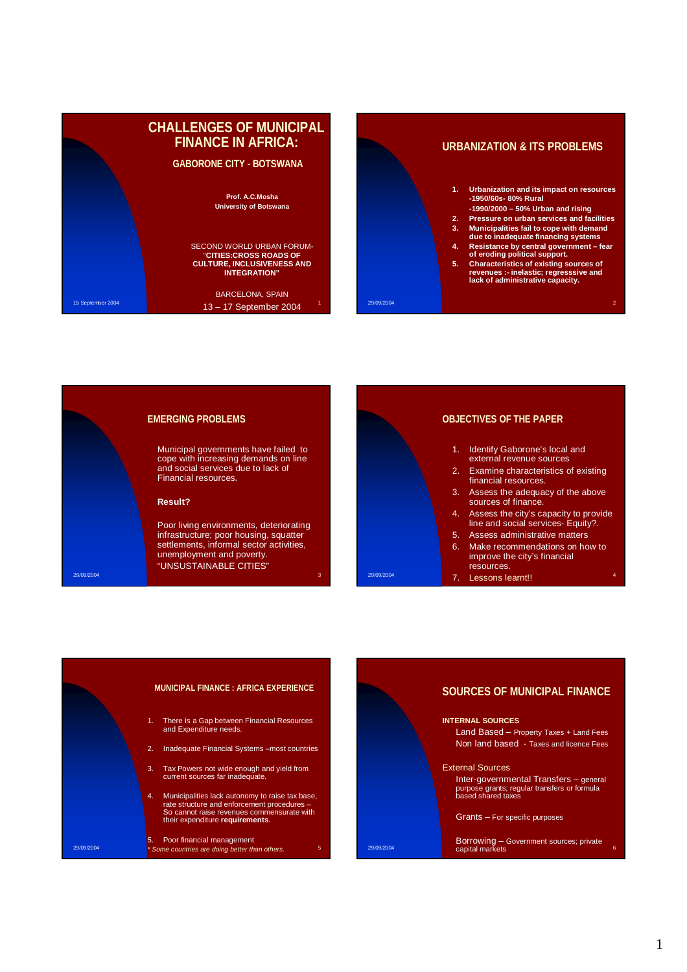







- 1. Identify Gaborone's local and external revenue sources 2. Examine characteristics of existing financial resources.
	- 3. Assess the adequacy of the above sources of finance.
- 4. Assess the city's capacity to provide line and social services- Equity?.
	- 5. Assess administrative matters
	- Make recommendations on how to improve the city's financial resources.
	- Lessons learnt!!



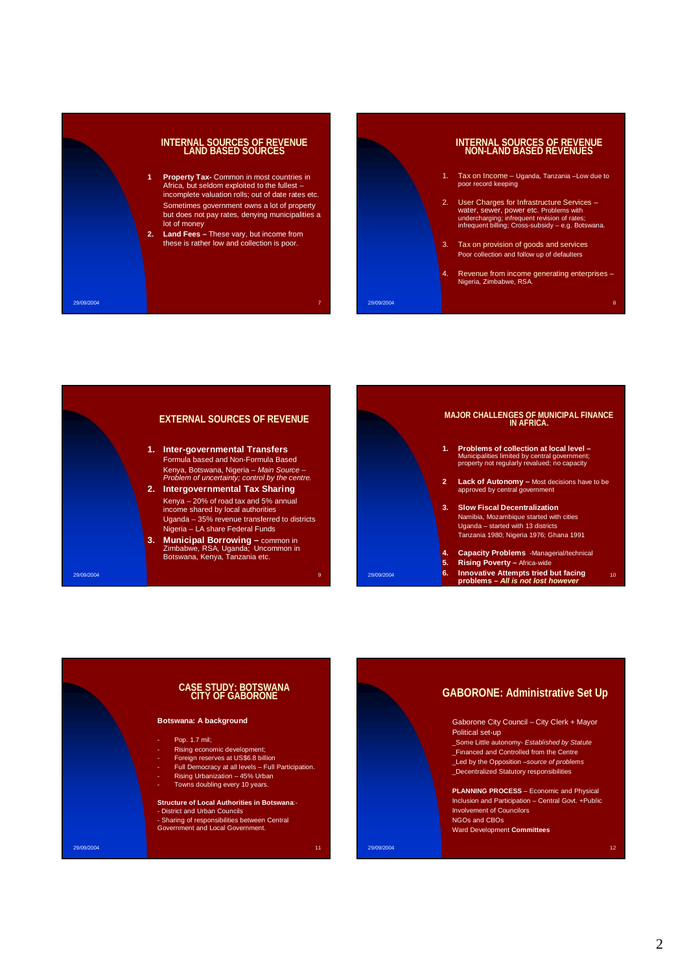



- 1. Tax on Income Uganda, Tanzania –Low due to poor record keeping
- 2. User Charges for Infrastructure Services water, sewer, power etc. Problems with undercharging; infrequent revision of rates; infrequent billing; Cross-subsidy e.g. Botswana.
- 3. Tax on provision of goods and services Poor collection and follow up of defaulters

29/09/2004 8

4. Revenue from income generating enterprises – Nigeria, Zimbabwe, RSA.





# **CASE STUDY: BOTSWANA CITY OF GABORONE**

#### **Botswana: A background**

- Pop. 1.7 mil;

- Rising economic development;
- Foreign reserves at US\$6.8 billion
- 
- Full Democracy at all levels Full Participation. Rising Urbanization 45% Urban Towns doubling every 10 years.
	-

#### **Structure of Local Authorities in Botswana**:-

- District and Urban Councils - Sharing of responsibilities between Central Government and Local Government.

<mark>29/09/2004 - المستخدم التي تشكيل المستخدم التي تشكيل التي تشكيل المستخدم التي تشكيل المستخدم التي تشكيل التي ت</mark>

**GABORONE: Administrative Set Up**

 Gaborone City Council – City Clerk + Mayor Political set-up

 \_Some Little autonomy- Established by Statute \_Financed and Controlled from the Centre \_<br>\_Led by the Opposition *–source of problems* 

\_Decentralized Statutory responsibilities

 **PLANNING PROCESS** – Economic and Physical Inclusion and Participation – Central Govt. +Public Involvement of Councilors NGOs and CBOs Ward Development **Committees**

29/09/2004 12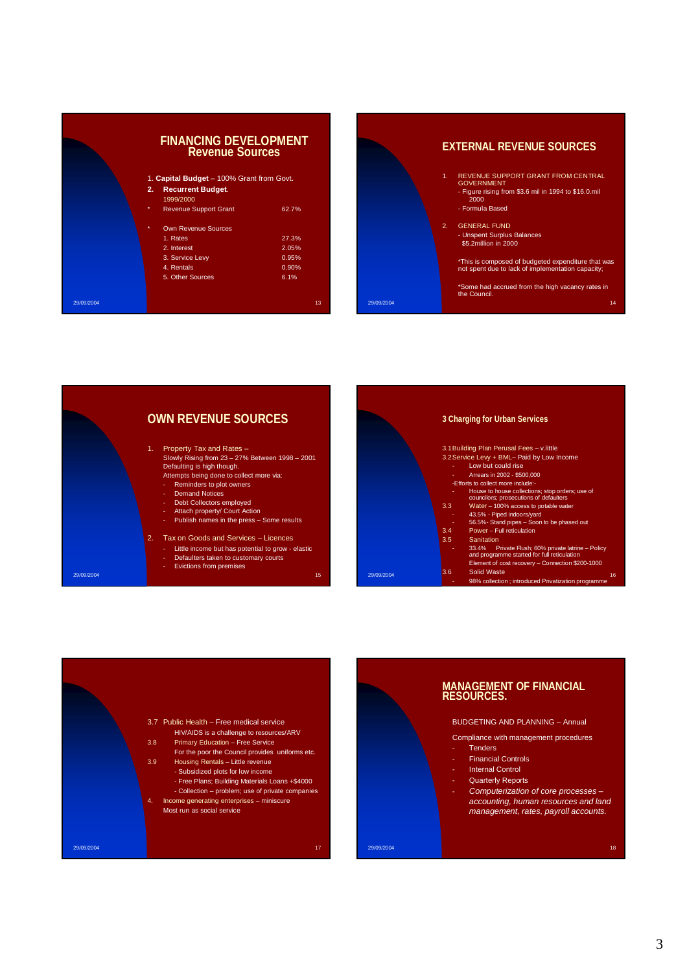|                                           | <b>FINANCING DEVELOPMENT</b><br><b>Revenue Sources</b> |       |  |
|-------------------------------------------|--------------------------------------------------------|-------|--|
| 1. Capital Budget - 100% Grant from Govt. |                                                        |       |  |
| 2.                                        | <b>Recurrent Budget.</b><br>1999/2000                  |       |  |
| $\ast$                                    | <b>Revenue Support Grant</b>                           | 62.7% |  |
| $\star$                                   | <b>Own Revenue Sources</b>                             |       |  |
|                                           | 1. Rates                                               | 27.3% |  |
|                                           | 2. Interest                                            | 2.05% |  |
|                                           | 3. Service Levy                                        | 0.95% |  |
|                                           | 4. Rentals                                             | 0.90% |  |
|                                           | 5. Other Sources                                       | 6.1%  |  |
| 29/09/2004                                |                                                        | 13    |  |

### **EXTERNAL REVENUE SOURCES**

1. REVENUE SUPPORT GRANT FROM CENTRAL GOVERNMENT - Figure rising from \$3.6 mil in 1994 to \$16.0.mil 2000

- Formula Based

2. GENERAL FUND - Unspent Surplus Balances \$5.2million in 2000

29/09/2004 14

\*This is composed of budgeted expenditure that was not spent due to lack of implementation capacity;

\*Some had accrued from the high vacancy rates in the Council.

29/09/2004 15 **OWN REVENUE SOURCES** 1. Property Tax and Rates – Slowly Rising from 23 – 27% Between 1998 – 2001 Defaulting is high though. Attempts being done to collect more via: - Reminders to plot owners - Demand Notices Debt Collectors employed - Attach property/ Court Action - Publish names in the press – Some results 2. Tax on Goods and Services – Licences Little income but has potential to grow - elastic Defaulters taken to customary courts Evictions from premises 16<br>29/09/2004 - 98% collection ; introduced Privatization programme **3 Charging for Urban Services** 3.1Building Plan Perusal Fees – v.little 3.2Service Levy + BML– Paid by Low Income - Low but could rise - Arrears in 2002 - \$500,000 -Efforts to collect more include:- - House to house collections; stop orders; use of councilors; prosecutions of defaulters 3.3 Water – 100% access to potable water - 43.5% - Piped indoors/yard - 56.5%- Stand pipes – Soon to be phased out 3.4 Power – Full reticulation 3.5 Sanitation - 33.4% Private Flush; 60% private latrine – Policy and programme started for full reticulation Element of cost recovery – Connection \$200-1000 3.6 Solid Waste



# **MANAGEMENT OF FINANCIAL**

#### BUDGETING AND PLANNING – Annual

Compliance with management procedures

- 
- 
- 
- Computerization of core processes accounting, human resources and land management, rates, payroll accounts.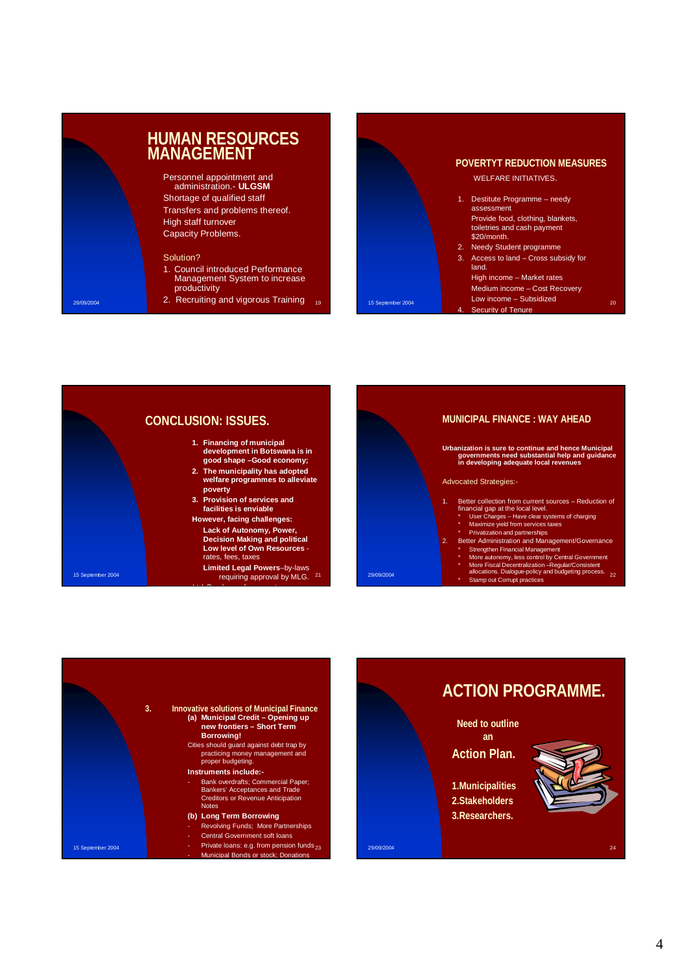## **HUMAN RESOURCES MANAGEMENT Personnel appointment and** administration.- **ULGSM** Shortage of qualified staff Transfers and problems thereof. High staff turnover Capacity Problems. Solution? 1. Council introduced Performance Management System to increase productivity